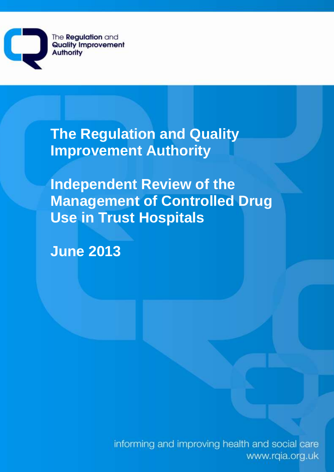The **Regulation** and **Quality Improvement Authority** 

> **The Regulation and Quality Improvement Authority**

**Independent Review of the Management of Controlled Drug Use in Trust Hospitals** 

**June 2013** 

informing and improving health and social care www.rqia.org.uk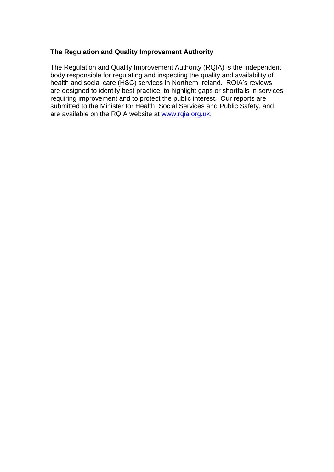### **The Regulation and Quality Improvement Authority**

The Regulation and Quality Improvement Authority (RQIA) is the independent body responsible for regulating and inspecting the quality and availability of health and social care (HSC) services in Northern Ireland. RQIA's reviews are designed to identify best practice, to highlight gaps or shortfalls in services requiring improvement and to protect the public interest. Our reports are submitted to the Minister for Health, Social Services and Public Safety, and are available on the RQIA website at [www.rqia.org.uk.](http://www.rqia.org.uk/)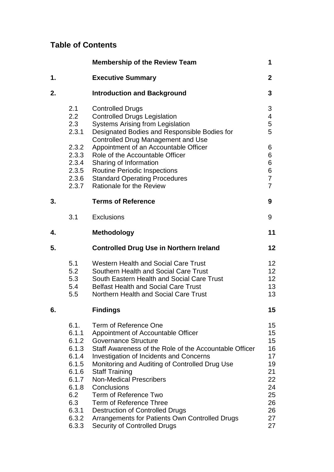# **Table of Contents**

|    |                                                                                                                       | <b>Membership of the Review Team</b>                                                                                                                                                                                                                                                                                                                                                                                                                                                                                      | 1                                                                                |
|----|-----------------------------------------------------------------------------------------------------------------------|---------------------------------------------------------------------------------------------------------------------------------------------------------------------------------------------------------------------------------------------------------------------------------------------------------------------------------------------------------------------------------------------------------------------------------------------------------------------------------------------------------------------------|----------------------------------------------------------------------------------|
| 1. |                                                                                                                       | <b>Executive Summary</b>                                                                                                                                                                                                                                                                                                                                                                                                                                                                                                  | $\overline{2}$                                                                   |
| 2. |                                                                                                                       | <b>Introduction and Background</b>                                                                                                                                                                                                                                                                                                                                                                                                                                                                                        | 3                                                                                |
|    | 2.1<br>2.2<br>2.3<br>2.3.1                                                                                            | <b>Controlled Drugs</b><br><b>Controlled Drugs Legislation</b><br><b>Systems Arising from Legislation</b><br>Designated Bodies and Responsible Bodies for<br><b>Controlled Drug Management and Use</b>                                                                                                                                                                                                                                                                                                                    | 3<br>4<br>5<br>5                                                                 |
|    | 2.3.2<br>2.3.3<br>2.3.4<br>2.3.5<br>2.3.6<br>2.3.7                                                                    | Appointment of an Accountable Officer<br>Role of the Accountable Officer<br>Sharing of Information<br><b>Routine Periodic Inspections</b><br><b>Standard Operating Procedures</b><br>Rationale for the Review                                                                                                                                                                                                                                                                                                             | 6<br>6<br>6<br>6<br>$\overline{7}$<br>$\overline{7}$                             |
| 3. |                                                                                                                       | <b>Terms of Reference</b>                                                                                                                                                                                                                                                                                                                                                                                                                                                                                                 | 9                                                                                |
|    | 3.1                                                                                                                   | <b>Exclusions</b>                                                                                                                                                                                                                                                                                                                                                                                                                                                                                                         | 9                                                                                |
| 4. |                                                                                                                       | <b>Methodology</b>                                                                                                                                                                                                                                                                                                                                                                                                                                                                                                        | 11                                                                               |
| 5. |                                                                                                                       | <b>Controlled Drug Use in Northern Ireland</b>                                                                                                                                                                                                                                                                                                                                                                                                                                                                            | 12                                                                               |
|    | 5.1<br>5.2<br>5.3<br>5.4<br>5.5                                                                                       | <b>Western Health and Social Care Trust</b><br>Southern Health and Social Care Trust<br>South Eastern Health and Social Care Trust<br><b>Belfast Health and Social Care Trust</b><br>Northern Health and Social Care Trust                                                                                                                                                                                                                                                                                                | 12<br>12<br>12<br>13<br>13                                                       |
| 6. |                                                                                                                       | <b>Findings</b>                                                                                                                                                                                                                                                                                                                                                                                                                                                                                                           | 15                                                                               |
|    | 6.1.<br>6.1.1<br>6.1.2<br>6.1.3<br>6.1.4<br>6.1.5<br>6.1.6<br>6.1.7<br>6.1.8<br>6.2<br>6.3<br>6.3.1<br>6.3.2<br>6.3.3 | Term of Reference One<br>Appointment of Accountable Officer<br><b>Governance Structure</b><br>Staff Awareness of the Role of the Accountable Officer<br><b>Investigation of Incidents and Concerns</b><br>Monitoring and Auditing of Controlled Drug Use<br><b>Staff Training</b><br><b>Non-Medical Prescribers</b><br>Conclusions<br>Term of Reference Two<br>Term of Reference Three<br><b>Destruction of Controlled Drugs</b><br>Arrangements for Patients Own Controlled Drugs<br><b>Security of Controlled Drugs</b> | 15<br>15<br>15<br>16<br>17<br>19<br>21<br>22<br>24<br>25<br>26<br>26<br>27<br>27 |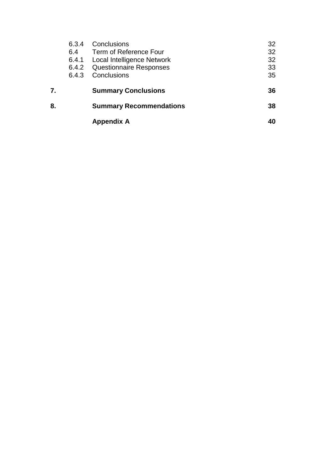|    | 6.3.4<br>6.4<br>6.4.1<br>6.4.3 | Conclusions<br>Term of Reference Four<br><b>Local Intelligence Network</b><br>6.4.2 Questionnaire Responses<br>Conclusions | 32<br>32<br>32<br>33<br>35 |
|----|--------------------------------|----------------------------------------------------------------------------------------------------------------------------|----------------------------|
| 7. |                                | <b>Summary Conclusions</b>                                                                                                 | 36                         |
| 8. |                                | <b>Summary Recommendations</b>                                                                                             | 38                         |
|    |                                | <b>Appendix A</b>                                                                                                          | 40                         |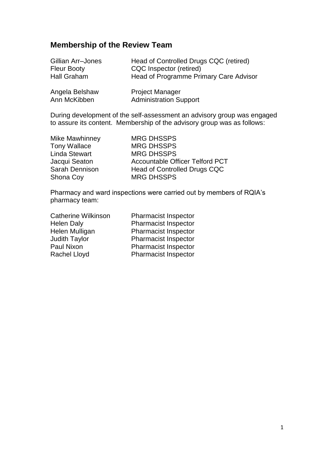# **Membership of the Review Team**

| Gillian Arr-Jones              | Head of Controlled Drugs CQC (retired)                  |
|--------------------------------|---------------------------------------------------------|
| <b>Fleur Booty</b>             | CQC Inspector (retired)                                 |
| <b>Hall Graham</b>             | Head of Programme Primary Care Advisor                  |
| Angela Belshaw<br>Ann McKibben | <b>Project Manager</b><br><b>Administration Support</b> |

During development of the self-assessment an advisory group was engaged to assure its content. Membership of the advisory group was as follows:

| <b>MRG DHSSPS</b>               |
|---------------------------------|
| <b>MRG DHSSPS</b>               |
| <b>MRG DHSSPS</b>               |
| Accountable Officer Telford PCT |
| Head of Controlled Drugs CQC    |
| <b>MRG DHSSPS</b>               |
|                                 |

Pharmacy and ward inspections were carried out by members of RQIA's pharmacy team:

| <b>Catherine Wilkinson</b> | <b>Pharmacist Inspector</b> |
|----------------------------|-----------------------------|
| <b>Helen Daly</b>          | <b>Pharmacist Inspector</b> |
| Helen Mulligan             | <b>Pharmacist Inspector</b> |
| <b>Judith Taylor</b>       | <b>Pharmacist Inspector</b> |
| Paul Nixon                 | <b>Pharmacist Inspector</b> |
| <b>Rachel Lloyd</b>        | <b>Pharmacist Inspector</b> |
|                            |                             |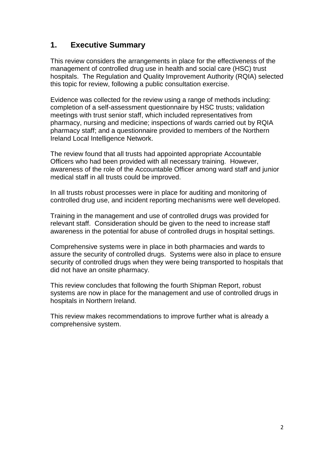# **1. Executive Summary**

This review considers the arrangements in place for the effectiveness of the management of controlled drug use in health and social care (HSC) trust hospitals. The Regulation and Quality Improvement Authority (RQIA) selected this topic for review, following a public consultation exercise.

Evidence was collected for the review using a range of methods including: completion of a self-assessment questionnaire by HSC trusts; validation meetings with trust senior staff, which included representatives from pharmacy, nursing and medicine; inspections of wards carried out by RQIA pharmacy staff; and a questionnaire provided to members of the Northern Ireland Local Intelligence Network.

The review found that all trusts had appointed appropriate Accountable Officers who had been provided with all necessary training. However, awareness of the role of the Accountable Officer among ward staff and junior medical staff in all trusts could be improved.

In all trusts robust processes were in place for auditing and monitoring of controlled drug use, and incident reporting mechanisms were well developed.

Training in the management and use of controlled drugs was provided for relevant staff. Consideration should be given to the need to increase staff awareness in the potential for abuse of controlled drugs in hospital settings.

Comprehensive systems were in place in both pharmacies and wards to assure the security of controlled drugs. Systems were also in place to ensure security of controlled drugs when they were being transported to hospitals that did not have an onsite pharmacy.

This review concludes that following the fourth Shipman Report, robust systems are now in place for the management and use of controlled drugs in hospitals in Northern Ireland.

This review makes recommendations to improve further what is already a comprehensive system.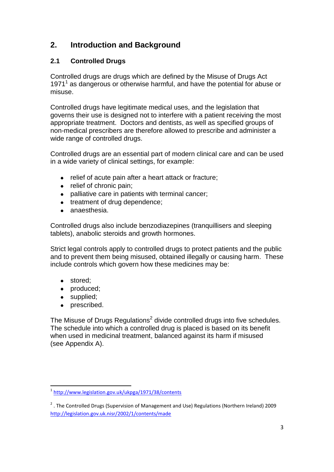# **2. Introduction and Background**

## **2.1 Controlled Drugs**

Controlled drugs are drugs which are defined by the Misuse of Drugs Act 1971<sup>1</sup> as dangerous or otherwise harmful, and have the potential for abuse or misuse.

Controlled drugs have legitimate medical uses, and the legislation that governs their use is designed not to interfere with a patient receiving the most appropriate treatment. Doctors and dentists, as well as specified groups of non-medical prescribers are therefore allowed to prescribe and administer a wide range of controlled drugs.

Controlled drugs are an essential part of modern clinical care and can be used in a wide variety of clinical settings, for example:

- relief of acute pain after a heart attack or fracture;  $\bullet$
- relief of chronic pain;  $\bullet$
- palliative care in patients with terminal cancer;
- treatment of drug dependence:
- anaesthesia.  $\bullet$

Controlled drugs also include benzodiazepines (tranquillisers and sleeping tablets), anabolic steroids and growth hormones.

Strict legal controls apply to controlled drugs to protect patients and the public and to prevent them being misused, obtained illegally or causing harm. These include controls which govern how these medicines may be:

- stored:
- produced;
- supplied;
- prescribed.  $\bullet$

The Misuse of Drugs Regulations<sup>2</sup> divide controlled drugs into five schedules. The schedule into which a controlled drug is placed is based on its benefit when used in medicinal treatment, balanced against its harm if misused (see Appendix A).

n<br>1 <http://www.legislation.gov.uk/ukpga/1971/38/contents>

<sup>&</sup>lt;sup>2</sup>. The Controlled Drugs (Supervision of Management and Use) Regulations (Northern Ireland) 2009 <http://legislation.gov.uk.nisr/2002/1/contents/made>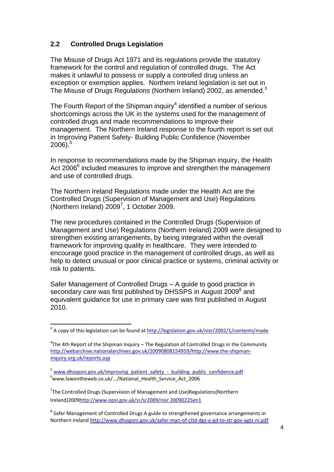## **2.2 Controlled Drugs Legislation**

The Misuse of Drugs Act 1971 and its regulations provide the statutory framework for the control and regulation of controlled drugs. The Act makes it unlawful to possess or supply a controlled drug unless an exception or exemption applies. Northern Ireland legislation is set out in The Misuse of Drugs Regulations (Northern Ireland) 2002, as amended.<sup>3</sup>

The Fourth Report of the Shipman inquiry<sup>4</sup> identified a number of serious shortcomings across the UK in the systems used for the management of controlled drugs and made recommendations to improve their management. The Northern Ireland response to the fourth report is set out in Improving Patient Safety- Building Public Confidence (November 2006). 5

In response to recommendations made by the Shipman inquiry, the Health Act 2006<sup>6</sup> included measures to improve and strengthen the management and use of controlled drugs.

The Northern Ireland Regulations made under the Health Act are the Controlled Drugs (Supervision of Management and Use) Regulations (Northern Ireland)  $2009^7$ , 1 October 2009.

The new procedures contained in the Controlled Drugs (Supervision of Management and Use) Regulations (Northern Ireland) 2009 were designed to strengthen existing arrangements, by being integrated within the overall framework for improving quality in healthcare. They were intended to encourage good practice in the management of controlled drugs, as well as help to detect unusual or poor clinical practice or systems, criminal activity or risk to patients.

Safer Management of Controlled Drugs – A guide to good practice in secondary care was first published by DHSSPS in August 2009<sup>8</sup> and equivalent guidance for use in primary care was first published in August 2010.

and a copy of this legislation can be found at<http://legislation.gov.uk/nisr/2002/1/contents/made>

 $4$ The 4th Report of the Shipman Inquiry – The Regulation of Controlled Drugs in the Community [http://webarchive.nationalarchives.gov.uk/20090808154959/http://www.the-shipman](http://webarchive.nationalarchives.gov.uk/20090808154959/http:/www.the-shipman-inquiry.org.uk/reports.asp)[inquiry.org.uk/reports.asp](http://webarchive.nationalarchives.gov.uk/20090808154959/http:/www.the-shipman-inquiry.org.uk/reports.asp)

<sup>&</sup>lt;sup>5</sup> [www.dhsspsni.gov.uk/improving\\_patient\\_safety\\_-\\_building\\_public\\_confidence.pdf](http://www.dhsspsni.gov.uk/improving_patient_safety_-_building_public_confidence.pdf)  $6$ www.lawontheweb.co.uk/.../National\_Health\_Service\_Act\_2006

<sup>&</sup>lt;sup>7</sup>The Controlled Drugs (Supervision of Management and Use)Regulations(Northern Ireland)200[9http://www.opsi.gov.uk/sr/sr2009/nisr 20090225en1](http://www.opsi.gov.uk/sr/sr2009/nisr%2020090225en1) 

 $^8$  Safer Management of Controlled Drugs A guide to strengthened governance arrangements in Northern Irelan[d http://www.dhsspsni.gov.uk/safer-man-of-ctld-dgs-a-gd-to-str-gov-agts-ni.pdf](http://www.dhsspsni.gov.uk/safer-man-of-ctld-dgs-a-gd-to-str-gov-agts-ni.pdf)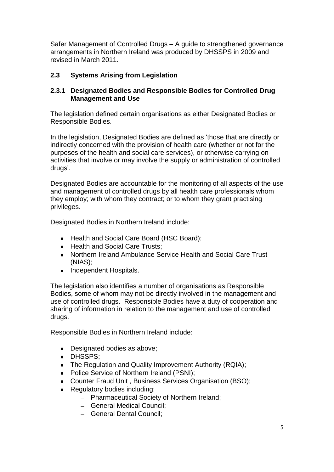Safer Management of Controlled Drugs – A guide to strengthened governance arrangements in Northern Ireland was produced by DHSSPS in 2009 and revised in March 2011.

## **2.3 Systems Arising from Legislation**

### **2.3.1 Designated Bodies and Responsible Bodies for Controlled Drug Management and Use**

The legislation defined certain organisations as either Designated Bodies or Responsible Bodies.

In the legislation, Designated Bodies are defined as 'those that are directly or indirectly concerned with the provision of health care (whether or not for the purposes of the health and social care services), or otherwise carrying on activities that involve or may involve the supply or administration of controlled drugs'.

Designated Bodies are accountable for the monitoring of all aspects of the use and management of controlled drugs by all health care professionals whom they employ; with whom they contract; or to whom they grant practising privileges.

Designated Bodies in Northern Ireland include:

- Health and Social Care Board (HSC Board);
- Health and Social Care Trusts;
- Northern Ireland Ambulance Service Health and Social Care Trust (NIAS);
- Independent Hospitals.

The legislation also identifies a number of organisations as Responsible Bodies, some of whom may not be directly involved in the management and use of controlled drugs. Responsible Bodies have a duty of cooperation and sharing of information in relation to the management and use of controlled drugs.

Responsible Bodies in Northern Ireland include:

- Designated bodies as above:
- DHSSPS:
- The Regulation and Quality Improvement Authority (RQIA);
- Police Service of Northern Ireland (PSNI);  $\bullet$
- Counter Fraud Unit , Business Services Organisation (BSO);
- Regulatory bodies including:
	- Pharmaceutical Society of Northern Ireland;
	- General Medical Council;
	- General Dental Council;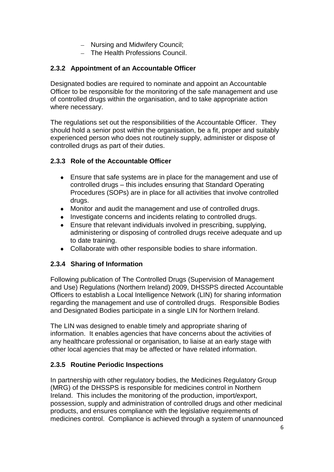- Nursing and Midwifery Council;
- The Health Professions Council.

## **2.3.2 Appointment of an Accountable Officer**

Designated bodies are required to nominate and appoint an Accountable Officer to be responsible for the monitoring of the safe management and use of controlled drugs within the organisation, and to take appropriate action where necessary.

The regulations set out the responsibilities of the Accountable Officer. They should hold a senior post within the organisation, be a fit, proper and suitably experienced person who does not routinely supply, administer or dispose of controlled drugs as part of their duties.

### **2.3.3 Role of the Accountable Officer**

- Ensure that safe systems are in place for the management and use of  $\bullet$ controlled drugs – this includes ensuring that Standard Operating Procedures (SOPs) are in place for all activities that involve controlled drugs.
- $\bullet$ Monitor and audit the management and use of controlled drugs.
- $\bullet$ Investigate concerns and incidents relating to controlled drugs.
- Ensure that relevant individuals involved in prescribing, supplying,  $\bullet$ administering or disposing of controlled drugs receive adequate and up to date training.
- Collaborate with other responsible bodies to share information.

### **2.3.4 Sharing of Information**

Following publication of The Controlled Drugs (Supervision of Management and Use) Regulations (Northern Ireland) 2009, DHSSPS directed Accountable Officers to establish a Local Intelligence Network (LIN) for sharing information regarding the management and use of controlled drugs. Responsible Bodies and Designated Bodies participate in a single LIN for Northern Ireland.

The LIN was designed to enable timely and appropriate sharing of information. It enables agencies that have concerns about the activities of any healthcare professional or organisation, to liaise at an early stage with other local agencies that may be affected or have related information.

### **2.3.5 Routine Periodic Inspections**

In partnership with other regulatory bodies, the Medicines Regulatory Group (MRG) of the DHSSPS is responsible for medicines control in Northern Ireland. This includes the monitoring of the production, import/export, possession, supply and administration of controlled drugs and other medicinal products, and ensures compliance with the legislative requirements of medicines control. Compliance is achieved through a system of unannounced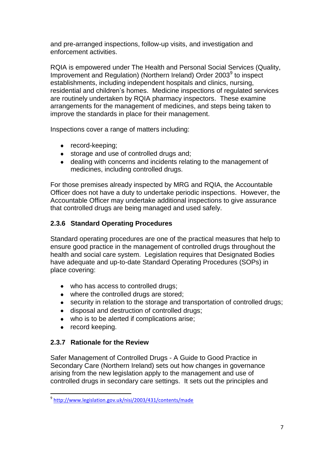and pre-arranged inspections, follow-up visits, and investigation and enforcement activities.

RQIA is empowered under The Health and Personal Social Services (Quality, Improvement and Regulation) (Northern Ireland) Order 2003<sup>9</sup> to inspect establishments, including independent hospitals and clinics, nursing, residential and children's homes. Medicine inspections of regulated services are routinely undertaken by RQIA pharmacy inspectors. These examine arrangements for the management of medicines, and steps being taken to improve the standards in place for their management.

Inspections cover a range of matters including:

- record-keeping;
- storage and use of controlled drugs and;
- dealing with concerns and incidents relating to the management of medicines, including controlled drugs.

For those premises already inspected by MRG and RQIA, the Accountable Officer does not have a duty to undertake periodic inspections. However, the Accountable Officer may undertake additional inspections to give assurance that controlled drugs are being managed and used safely.

### **2.3.6 Standard Operating Procedures**

Standard operating procedures are one of the practical measures that help to ensure good practice in the management of controlled drugs throughout the health and social care system. Legislation requires that Designated Bodies have adequate and up-to-date Standard Operating Procedures (SOPs) in place covering:

- who has access to controlled drugs;
- where the controlled drugs are stored;
- security in relation to the storage and transportation of controlled drugs;
- disposal and destruction of controlled drugs;
- who is to be alerted if complications arise;
- record keeping.

 $\overline{a}$ 

### **2.3.7 Rationale for the Review**

Safer Management of Controlled Drugs - A Guide to Good Practice in Secondary Care (Northern Ireland) sets out how changes in governance arising from the new legislation apply to the management and use of controlled drugs in secondary care settings. It sets out the principles and

<sup>&</sup>lt;sup>9</sup><http://www.legislation.gov.uk/nisi/2003/431/contents/made>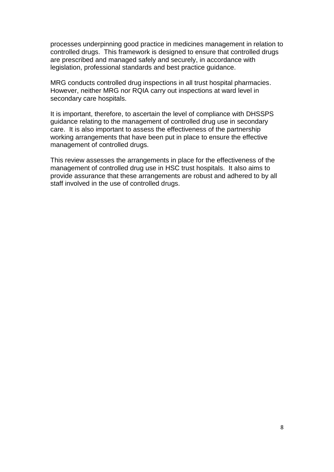processes underpinning good practice in medicines management in relation to controlled drugs. This framework is designed to ensure that controlled drugs are prescribed and managed safely and securely, in accordance with legislation, professional standards and best practice guidance.

MRG conducts controlled drug inspections in all trust hospital pharmacies. However, neither MRG nor RQIA carry out inspections at ward level in secondary care hospitals.

It is important, therefore, to ascertain the level of compliance with DHSSPS guidance relating to the management of controlled drug use in secondary care. It is also important to assess the effectiveness of the partnership working arrangements that have been put in place to ensure the effective management of controlled drugs.

This review assesses the arrangements in place for the effectiveness of the management of controlled drug use in HSC trust hospitals. It also aims to provide assurance that these arrangements are robust and adhered to by all staff involved in the use of controlled drugs.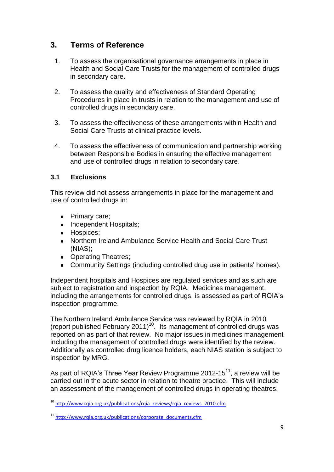# **3. Terms of Reference**

- 1. To assess the organisational governance arrangements in place in Health and Social Care Trusts for the management of controlled drugs in secondary care.
- 2. To assess the quality and effectiveness of Standard Operating Procedures in place in trusts in relation to the management and use of controlled drugs in secondary care.
- 3. To assess the effectiveness of these arrangements within Health and Social Care Trusts at clinical practice levels.
- 4. To assess the effectiveness of communication and partnership working between Responsible Bodies in ensuring the effective management and use of controlled drugs in relation to secondary care.

### **3.1 Exclusions**

This review did not assess arrangements in place for the management and use of controlled drugs in:

- Primary care;
- Independent Hospitals:
- Hospices:

 $\overline{a}$ 

- Northern Ireland Ambulance Service Health and Social Care Trust (NIAS);
- Operating Theatres:
- Community Settings (including controlled drug use in patients' homes).

Independent hospitals and Hospices are regulated services and as such are subject to registration and inspection by RQIA. Medicines management, including the arrangements for controlled drugs, is assessed as part of RQIA's inspection programme.

The Northern Ireland Ambulance Service was reviewed by RQIA in 2010 (report published February 2011)<sup>10</sup>. Its management of controlled drugs was reported on as part of that review. No major issues in medicines management including the management of controlled drugs were identified by the review. Additionally as controlled drug licence holders, each NIAS station is subject to inspection by MRG.

As part of RQIA's Three Year Review Programme 2012-15<sup>11</sup>, a review will be carried out in the acute sector in relation to theatre practice. This will include an assessment of the management of controlled drugs in operating theatres.

<sup>&</sup>lt;sup>10</sup> [http://www.rqia.org.uk/publications/rqia\\_reviews/rqia\\_reviews\\_2010.cfm](http://www.rqia.org.uk/publications/rqia_reviews/rqia_reviews_2010.cfm)

<sup>11</sup> [http://www.rqia.org.uk/publications/corporate\\_documents.cfm](http://www.rqia.org.uk/publications/corporate_documents.cfm)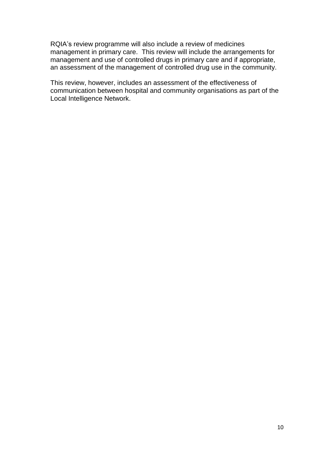RQIA's review programme will also include a review of medicines management in primary care. This review will include the arrangements for management and use of controlled drugs in primary care and if appropriate, an assessment of the management of controlled drug use in the community.

This review, however, includes an assessment of the effectiveness of communication between hospital and community organisations as part of the Local Intelligence Network.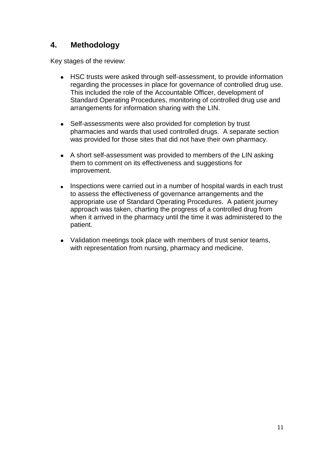# **4. Methodology**

Key stages of the review:

- HSC trusts were asked through self-assessment, to provide information regarding the processes in place for governance of controlled drug use. This included the role of the Accountable Officer, development of Standard Operating Procedures, monitoring of controlled drug use and arrangements for information sharing with the LIN.
- Self-assessments were also provided for completion by trust  $\bullet$ pharmacies and wards that used controlled drugs. A separate section was provided for those sites that did not have their own pharmacy.
- A short self-assessment was provided to members of the LIN asking them to comment on its effectiveness and suggestions for improvement.
- Inspections were carried out in a number of hospital wards in each trust to assess the effectiveness of governance arrangements and the appropriate use of Standard Operating Procedures. A patient journey approach was taken, charting the progress of a controlled drug from when it arrived in the pharmacy until the time it was administered to the patient.
- Validation meetings took place with members of trust senior teams, with representation from nursing, pharmacy and medicine.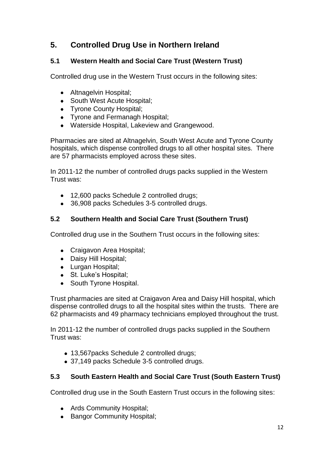# **5. Controlled Drug Use in Northern Ireland**

# **5.1 Western Health and Social Care Trust (Western Trust)**

Controlled drug use in the Western Trust occurs in the following sites:

- Altnagelvin Hospital:
- South West Acute Hospital;
- Tyrone County Hospital;
- Tyrone and Fermanagh Hospital;
- Waterside Hospital, Lakeview and Grangewood.

Pharmacies are sited at Altnagelvin, South West Acute and Tyrone County hospitals, which dispense controlled drugs to all other hospital sites. There are 57 pharmacists employed across these sites.

In 2011-12 the number of controlled drugs packs supplied in the Western Trust was:

- 12,600 packs Schedule 2 controlled drugs;
- 36,908 packs Schedules 3-5 controlled drugs.  $\bullet$

# **5.2 Southern Health and Social Care Trust (Southern Trust)**

Controlled drug use in the Southern Trust occurs in the following sites:

- Craigavon Area Hospital;
- Daisy Hill Hospital;
- Lurgan Hospital;
- St. Luke's Hospital:
- South Tyrone Hospital.

Trust pharmacies are sited at Craigavon Area and Daisy Hill hospital, which dispense controlled drugs to all the hospital sites within the trusts. There are 62 pharmacists and 49 pharmacy technicians employed throughout the trust.

In 2011-12 the number of controlled drugs packs supplied in the Southern Trust was:

- 13,567packs Schedule 2 controlled drugs;
- 37,149 packs Schedule 3-5 controlled drugs.

### **5.3 South Eastern Health and Social Care Trust (South Eastern Trust)**

Controlled drug use in the South Eastern Trust occurs in the following sites:

- Ards Community Hospital;
- Bangor Community Hospital;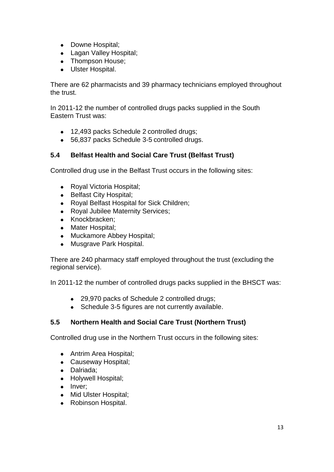- Downe Hospital;
- Lagan Valley Hospital;
- Thompson House:
- Ulster Hospital.

There are 62 pharmacists and 39 pharmacy technicians employed throughout the trust.

In 2011-12 the number of controlled drugs packs supplied in the South Eastern Trust was:

- 12,493 packs Schedule 2 controlled drugs;
- 56,837 packs Schedule 3-5 controlled drugs.

## **5.4 Belfast Health and Social Care Trust (Belfast Trust)**

Controlled drug use in the Belfast Trust occurs in the following sites:

- Royal Victoria Hospital;  $\bullet$
- Belfast City Hospital;
- Royal Belfast Hospital for Sick Children;  $\bullet$
- Royal Jubilee Maternity Services;
- Knockbracken;
- Mater Hospital;
- Muckamore Abbey Hospital;
- Musgrave Park Hospital.

There are 240 pharmacy staff employed throughout the trust (excluding the regional service).

In 2011-12 the number of controlled drugs packs supplied in the BHSCT was:

- 29,970 packs of Schedule 2 controlled drugs;
- Schedule 3-5 figures are not currently available.

# **5.5 Northern Health and Social Care Trust (Northern Trust)**

Controlled drug use in the Northern Trust occurs in the following sites:

- Antrim Area Hospital:
- Causeway Hospital;
- Dalriada;
- Holywell Hospital;
- Inver;
- Mid Ulster Hospital;
- Robinson Hospital.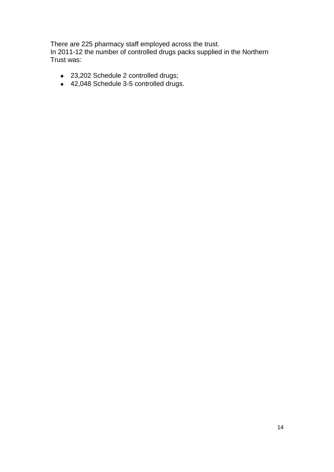There are 225 pharmacy staff employed across the trust. In 2011-12 the number of controlled drugs packs supplied in the Northern Trust was:

- 23,202 Schedule 2 controlled drugs;
- 42,048 Schedule 3-5 controlled drugs.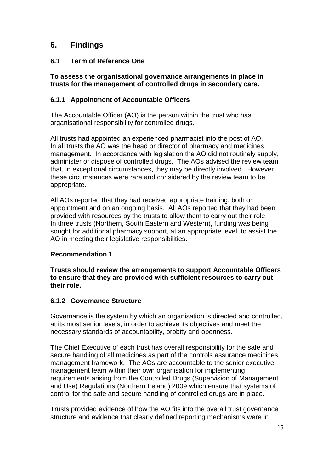# **6. Findings**

## **6.1 Term of Reference One**

**To assess the organisational governance arrangements in place in trusts for the management of controlled drugs in secondary care.**

### **6.1.1 Appointment of Accountable Officers**

The Accountable Officer (AO) is the person within the trust who has organisational responsibility for controlled drugs.

All trusts had appointed an experienced pharmacist into the post of AO. In all trusts the AO was the head or director of pharmacy and medicines management. In accordance with legislation the AO did not routinely supply, administer or dispose of controlled drugs. The AOs advised the review team that, in exceptional circumstances, they may be directly involved. However, these circumstances were rare and considered by the review team to be appropriate.

All AOs reported that they had received appropriate training, both on appointment and on an ongoing basis. All AOs reported that they had been provided with resources by the trusts to allow them to carry out their role. In three trusts (Northern, South Eastern and Western), funding was being sought for additional pharmacy support, at an appropriate level, to assist the AO in meeting their legislative responsibilities.

### **Recommendation 1**

**Trusts should review the arrangements to support Accountable Officers to ensure that they are provided with sufficient resources to carry out their role.**

### **6.1.2 Governance Structure**

Governance is the system by which an organisation is directed and controlled, at its most senior levels, in order to achieve its objectives and meet the necessary standards of accountability, probity and openness.

The Chief Executive of each trust has overall responsibility for the safe and secure handling of all medicines as part of the controls assurance medicines management framework. The AOs are accountable to the senior executive management team within their own organisation for implementing requirements arising from the Controlled Drugs (Supervision of Management and Use) Regulations (Northern Ireland) 2009 which ensure that systems of control for the safe and secure handling of controlled drugs are in place.

Trusts provided evidence of how the AO fits into the overall trust governance structure and evidence that clearly defined reporting mechanisms were in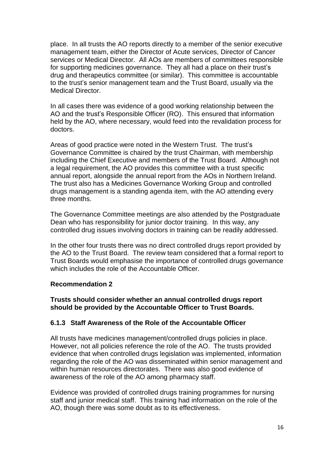place. In all trusts the AO reports directly to a member of the senior executive management team, either the Director of Acute services, Director of Cancer services or Medical Director. All AOs are members of committees responsible for supporting medicines governance. They all had a place on their trust's drug and therapeutics committee (or similar). This committee is accountable to the trust's senior management team and the Trust Board, usually via the Medical Director.

In all cases there was evidence of a good working relationship between the AO and the trust's Responsible Officer (RO). This ensured that information held by the AO, where necessary, would feed into the revalidation process for doctors.

Areas of good practice were noted in the Western Trust. The trust's Governance Committee is chaired by the trust Chairman, with membership including the Chief Executive and members of the Trust Board. Although not a legal requirement, the AO provides this committee with a trust specific annual report, alongside the annual report from the AOs in Northern Ireland. The trust also has a Medicines Governance Working Group and controlled drugs management is a standing agenda item, with the AO attending every three months.

The Governance Committee meetings are also attended by the Postgraduate Dean who has responsibility for junior doctor training. In this way, any controlled drug issues involving doctors in training can be readily addressed.

In the other four trusts there was no direct controlled drugs report provided by the AO to the Trust Board. The review team considered that a formal report to Trust Boards would emphasise the importance of controlled drugs governance which includes the role of the Accountable Officer.

### **Recommendation 2**

**Trusts should consider whether an annual controlled drugs report should be provided by the Accountable Officer to Trust Boards.**

### **6.1.3 Staff Awareness of the Role of the Accountable Officer**

All trusts have medicines management/controlled drugs policies in place. However, not all policies reference the role of the AO. The trusts provided evidence that when controlled drugs legislation was implemented, information regarding the role of the AO was disseminated within senior management and within human resources directorates. There was also good evidence of awareness of the role of the AO among pharmacy staff.

Evidence was provided of controlled drugs training programmes for nursing staff and junior medical staff. This training had information on the role of the AO, though there was some doubt as to its effectiveness.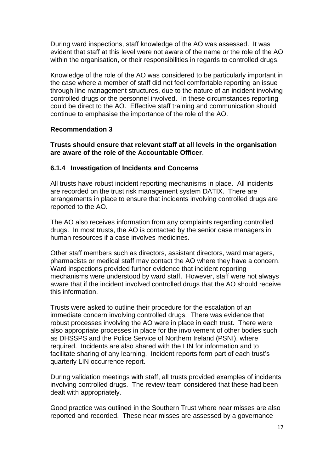During ward inspections, staff knowledge of the AO was assessed. It was evident that staff at this level were not aware of the name or the role of the AO within the organisation, or their responsibilities in regards to controlled drugs.

Knowledge of the role of the AO was considered to be particularly important in the case where a member of staff did not feel comfortable reporting an issue through line management structures, due to the nature of an incident involving controlled drugs or the personnel involved. In these circumstances reporting could be direct to the AO. Effective staff training and communication should continue to emphasise the importance of the role of the AO.

### **Recommendation 3**

**Trusts should ensure that relevant staff at all levels in the organisation are aware of the role of the Accountable Officer**.

### **6.1.4 Investigation of Incidents and Concerns**

All trusts have robust incident reporting mechanisms in place. All incidents are recorded on the trust risk management system DATIX. There are arrangements in place to ensure that incidents involving controlled drugs are reported to the AO.

The AO also receives information from any complaints regarding controlled drugs. In most trusts, the AO is contacted by the senior case managers in human resources if a case involves medicines.

Other staff members such as directors, assistant directors, ward managers, pharmacists or medical staff may contact the AO where they have a concern. Ward inspections provided further evidence that incident reporting mechanisms were understood by ward staff. However, staff were not always aware that if the incident involved controlled drugs that the AO should receive this information.

Trusts were asked to outline their procedure for the escalation of an immediate concern involving controlled drugs. There was evidence that robust processes involving the AO were in place in each trust. There were also appropriate processes in place for the involvement of other bodies such as DHSSPS and the Police Service of Northern Ireland (PSNI), where required. Incidents are also shared with the LIN for information and to facilitate sharing of any learning. Incident reports form part of each trust's quarterly LIN occurrence report.

During validation meetings with staff, all trusts provided examples of incidents involving controlled drugs. The review team considered that these had been dealt with appropriately.

Good practice was outlined in the Southern Trust where near misses are also reported and recorded. These near misses are assessed by a governance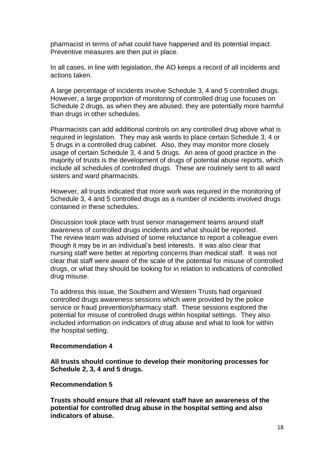pharmacist in terms of what could have happened and its potential impact. Preventive measures are then put in place.

In all cases, in line with legislation, the AO keeps a record of all incidents and actions taken.

A large percentage of incidents involve Schedule 3, 4 and 5 controlled drugs. However, a large proportion of monitoring of controlled drug use focuses on Schedule 2 drugs, as when they are abused, they are potentially more harmful than drugs in other schedules.

Pharmacists can add additional controls on any controlled drug above what is required in legislation. They may ask wards to place certain Schedule 3, 4 or 5 drugs in a controlled drug cabinet. Also, they may monitor more closely usage of certain Schedule 3, 4 and 5 drugs. An area of good practice in the majority of trusts is the development of drugs of potential abuse reports, which include all schedules of controlled drugs. These are routinely sent to all ward sisters and ward pharmacists.

However, all trusts indicated that more work was required in the monitoring of Schedule 3, 4 and 5 controlled drugs as a number of incidents involved drugs contained in these schedules.

Discussion took place with trust senior management teams around staff awareness of controlled drugs incidents and what should be reported. The review team was advised of some reluctance to report a colleague even though it may be in an individual's best interests. It was also clear that nursing staff were better at reporting concerns than medical staff. It was not clear that staff were aware of the scale of the potential for misuse of controlled drugs, or what they should be looking for in relation to indications of controlled drug misuse.

To address this issue, the Southern and Western Trusts had organised controlled drugs awareness sessions which were provided by the police service or fraud prevention/pharmacy staff. These sessions explored the potential for misuse of controlled drugs within hospital settings. They also included information on indicators of drug abuse and what to look for within the hospital setting.

#### **Recommendation 4**

**All trusts should continue to develop their monitoring processes for Schedule 2, 3, 4 and 5 drugs.**

#### **Recommendation 5**

**Trusts should ensure that all relevant staff have an awareness of the potential for controlled drug abuse in the hospital setting and also indicators of abuse.**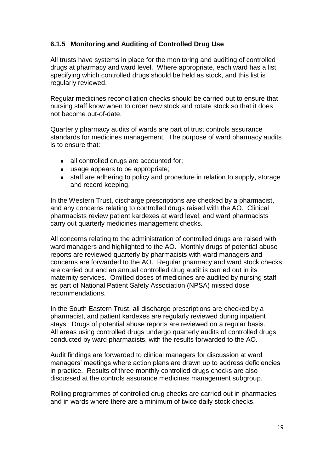## **6.1.5 Monitoring and Auditing of Controlled Drug Use**

All trusts have systems in place for the monitoring and auditing of controlled drugs at pharmacy and ward level. Where appropriate, each ward has a list specifying which controlled drugs should be held as stock, and this list is regularly reviewed.

Regular medicines reconciliation checks should be carried out to ensure that nursing staff know when to order new stock and rotate stock so that it does not become out-of-date.

Quarterly pharmacy audits of wards are part of trust controls assurance standards for medicines management. The purpose of ward pharmacy audits is to ensure that:

- all controlled drugs are accounted for;  $\bullet$
- usage appears to be appropriate;
- staff are adhering to policy and procedure in relation to supply, storage and record keeping.

In the Western Trust, discharge prescriptions are checked by a pharmacist, and any concerns relating to controlled drugs raised with the AO. Clinical pharmacists review patient kardexes at ward level, and ward pharmacists carry out quarterly medicines management checks.

All concerns relating to the administration of controlled drugs are raised with ward managers and highlighted to the AO. Monthly drugs of potential abuse reports are reviewed quarterly by pharmacists with ward managers and concerns are forwarded to the AO. Regular pharmacy and ward stock checks are carried out and an annual controlled drug audit is carried out in its maternity services. Omitted doses of medicines are audited by nursing staff as part of National Patient Safety Association (NPSA) missed dose recommendations.

In the South Eastern Trust, all discharge prescriptions are checked by a pharmacist, and patient kardexes are regularly reviewed during inpatient stays. Drugs of potential abuse reports are reviewed on a regular basis. All areas using controlled drugs undergo quarterly audits of controlled drugs, conducted by ward pharmacists, with the results forwarded to the AO.

Audit findings are forwarded to clinical managers for discussion at ward managers' meetings where action plans are drawn up to address deficiencies in practice. Results of three monthly controlled drugs checks are also discussed at the controls assurance medicines management subgroup.

Rolling programmes of controlled drug checks are carried out in pharmacies and in wards where there are a minimum of twice daily stock checks.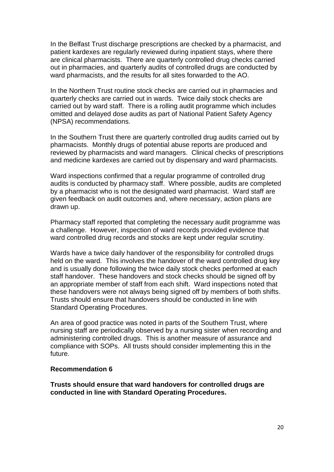In the Belfast Trust discharge prescriptions are checked by a pharmacist, and patient kardexes are regularly reviewed during inpatient stays, where there are clinical pharmacists. There are quarterly controlled drug checks carried out in pharmacies, and quarterly audits of controlled drugs are conducted by ward pharmacists, and the results for all sites forwarded to the AO.

In the Northern Trust routine stock checks are carried out in pharmacies and quarterly checks are carried out in wards. Twice daily stock checks are carried out by ward staff. There is a rolling audit programme which includes omitted and delayed dose audits as part of National Patient Safety Agency (NPSA) recommendations.

In the Southern Trust there are quarterly controlled drug audits carried out by pharmacists. Monthly drugs of potential abuse reports are produced and reviewed by pharmacists and ward managers. Clinical checks of prescriptions and medicine kardexes are carried out by dispensary and ward pharmacists.

Ward inspections confirmed that a regular programme of controlled drug audits is conducted by pharmacy staff. Where possible, audits are completed by a pharmacist who is not the designated ward pharmacist. Ward staff are given feedback on audit outcomes and, where necessary, action plans are drawn up.

Pharmacy staff reported that completing the necessary audit programme was a challenge. However, inspection of ward records provided evidence that ward controlled drug records and stocks are kept under regular scrutiny.

Wards have a twice daily handover of the responsibility for controlled drugs held on the ward. This involves the handover of the ward controlled drug key and is usually done following the twice daily stock checks performed at each staff handover. These handovers and stock checks should be signed off by an appropriate member of staff from each shift. Ward inspections noted that these handovers were not always being signed off by members of both shifts. Trusts should ensure that handovers should be conducted in line with Standard Operating Procedures.

An area of good practice was noted in parts of the Southern Trust, where nursing staff are periodically observed by a nursing sister when recording and administering controlled drugs. This is another measure of assurance and compliance with SOPs. All trusts should consider implementing this in the future.

#### **Recommendation 6**

**Trusts should ensure that ward handovers for controlled drugs are conducted in line with Standard Operating Procedures.**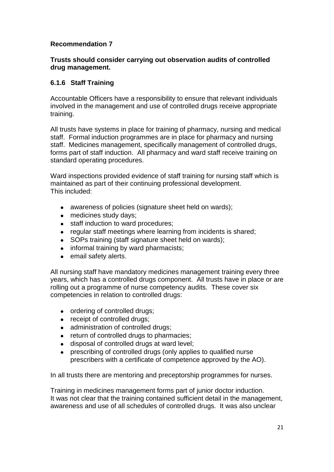### **Recommendation 7**

### **Trusts should consider carrying out observation audits of controlled drug management.**

### **6.1.6 Staff Training**

Accountable Officers have a responsibility to ensure that relevant individuals involved in the management and use of controlled drugs receive appropriate training.

All trusts have systems in place for training of pharmacy, nursing and medical staff. Formal induction programmes are in place for pharmacy and nursing staff. Medicines management, specifically management of controlled drugs, forms part of staff induction. All pharmacy and ward staff receive training on standard operating procedures.

Ward inspections provided evidence of staff training for nursing staff which is maintained as part of their continuing professional development. This included:

- $\bullet$ awareness of policies (signature sheet held on wards);
- medicines study days;  $\bullet$
- staff induction to ward procedures;  $\bullet$
- regular staff meetings where learning from incidents is shared;
- SOPs training (staff signature sheet held on wards);
- informal training by ward pharmacists;
- email safety alerts.

All nursing staff have mandatory medicines management training every three years, which has a controlled drugs component. All trusts have in place or are rolling out a programme of nurse competency audits. These cover six competencies in relation to controlled drugs:

- ordering of controlled drugs:
- receipt of controlled drugs;
- administration of controlled drugs;
- return of controlled drugs to pharmacies;
- disposal of controlled drugs at ward level;  $\bullet$
- prescribing of controlled drugs (only applies to qualified nurse  $\bullet$ prescribers with a certificate of competence approved by the AO).

In all trusts there are mentoring and preceptorship programmes for nurses.

Training in medicines management forms part of junior doctor induction. It was not clear that the training contained sufficient detail in the management, awareness and use of all schedules of controlled drugs. It was also unclear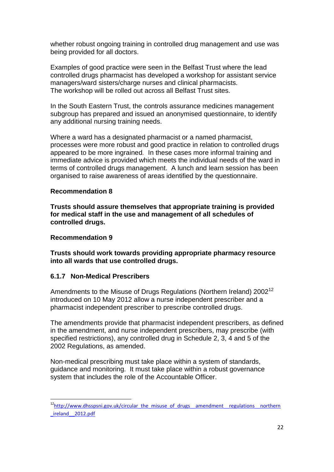whether robust ongoing training in controlled drug management and use was being provided for all doctors.

Examples of good practice were seen in the Belfast Trust where the lead controlled drugs pharmacist has developed a workshop for assistant service managers/ward sisters/charge nurses and clinical pharmacists. The workshop will be rolled out across all Belfast Trust sites.

In the South Eastern Trust, the controls assurance medicines management subgroup has prepared and issued an anonymised questionnaire, to identify any additional nursing training needs.

Where a ward has a designated pharmacist or a named pharmacist, processes were more robust and good practice in relation to controlled drugs appeared to be more ingrained*.* In these cases more informal training and immediate advice is provided which meets the individual needs of the ward in terms of controlled drugs management. A lunch and learn session has been organised to raise awareness of areas identified by the questionnaire.

#### **Recommendation 8**

**Trusts should assure themselves that appropriate training is provided for medical staff in the use and management of all schedules of controlled drugs.**

#### **Recommendation 9**

 $\overline{a}$ 

**Trusts should work towards providing appropriate pharmacy resource into all wards that use controlled drugs.**

### **6.1.7 Non-Medical Prescribers**

Amendments to the Misuse of Drugs Regulations (Northern Ireland) 2002<sup>12</sup> introduced on 10 May 2012 allow a nurse independent prescriber and a pharmacist independent prescriber to prescribe controlled drugs.

The amendments provide that pharmacist independent prescribers, as defined in the amendment, and nurse independent prescribers, may prescribe (with specified restrictions), any controlled drug in Schedule 2, 3, 4 and 5 of the 2002 Regulations, as amended.

Non-medical prescribing must take place within a system of standards, guidance and monitoring. It must take place within a robust governance system that includes the role of the Accountable Officer.

<sup>&</sup>lt;sup>12</sup>[http://www.dhsspsni.gov.uk/circular\\_the\\_misuse\\_of\\_drugs\\_\\_amendment\\_\\_regulations\\_\\_northern](http://www.dhsspsni.gov.uk/circular_the_misuse_of_drugs__amendment__regulations__northern_ireland__2012.pdf) [\\_ireland\\_\\_2012.pdf](http://www.dhsspsni.gov.uk/circular_the_misuse_of_drugs__amendment__regulations__northern_ireland__2012.pdf)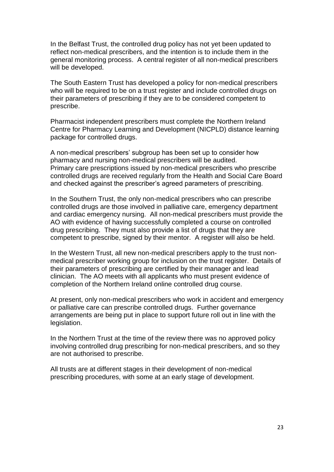In the Belfast Trust, the controlled drug policy has not yet been updated to reflect non-medical prescribers, and the intention is to include them in the general monitoring process. A central register of all non-medical prescribers will be developed.

The South Eastern Trust has developed a policy for non-medical prescribers who will be required to be on a trust register and include controlled drugs on their parameters of prescribing if they are to be considered competent to prescribe.

Pharmacist independent prescribers must complete the Northern Ireland Centre for Pharmacy Learning and Development (NICPLD) distance learning package for controlled drugs.

A non-medical prescribers' subgroup has been set up to consider how pharmacy and nursing non-medical prescribers will be audited. Primary care prescriptions issued by non-medical prescribers who prescribe controlled drugs are received regularly from the Health and Social Care Board and checked against the prescriber's agreed parameters of prescribing.

In the Southern Trust, the only non-medical prescribers who can prescribe controlled drugs are those involved in palliative care, emergency department and cardiac emergency nursing. All non-medical prescribers must provide the AO with evidence of having successfully completed a course on controlled drug prescribing. They must also provide a list of drugs that they are competent to prescribe, signed by their mentor. A register will also be held.

In the Western Trust, all new non-medical prescribers apply to the trust nonmedical prescriber working group for inclusion on the trust register. Details of their parameters of prescribing are certified by their manager and lead clinician. The AO meets with all applicants who must present evidence of completion of the Northern Ireland online controlled drug course.

At present, only non-medical prescribers who work in accident and emergency or palliative care can prescribe controlled drugs. Further governance arrangements are being put in place to support future roll out in line with the legislation.

In the Northern Trust at the time of the review there was no approved policy involving controlled drug prescribing for non-medical prescribers, and so they are not authorised to prescribe.

All trusts are at different stages in their development of non-medical prescribing procedures, with some at an early stage of development.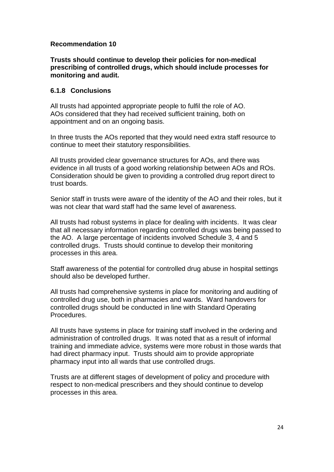#### **Recommendation 10**

**Trusts should continue to develop their policies for non-medical prescribing of controlled drugs, which should include processes for monitoring and audit.**

#### **6.1.8 Conclusions**

All trusts had appointed appropriate people to fulfil the role of AO. AOs considered that they had received sufficient training, both on appointment and on an ongoing basis.

In three trusts the AOs reported that they would need extra staff resource to continue to meet their statutory responsibilities.

All trusts provided clear governance structures for AOs, and there was evidence in all trusts of a good working relationship between AOs and ROs. Consideration should be given to providing a controlled drug report direct to trust boards.

Senior staff in trusts were aware of the identity of the AO and their roles, but it was not clear that ward staff had the same level of awareness.

All trusts had robust systems in place for dealing with incidents. It was clear that all necessary information regarding controlled drugs was being passed to the AO. A large percentage of incidents involved Schedule 3, 4 and 5 controlled drugs. Trusts should continue to develop their monitoring processes in this area.

Staff awareness of the potential for controlled drug abuse in hospital settings should also be developed further.

All trusts had comprehensive systems in place for monitoring and auditing of controlled drug use, both in pharmacies and wards. Ward handovers for controlled drugs should be conducted in line with Standard Operating Procedures.

All trusts have systems in place for training staff involved in the ordering and administration of controlled drugs. It was noted that as a result of informal training and immediate advice, systems were more robust in those wards that had direct pharmacy input. Trusts should aim to provide appropriate pharmacy input into all wards that use controlled drugs.

Trusts are at different stages of development of policy and procedure with respect to non-medical prescribers and they should continue to develop processes in this area.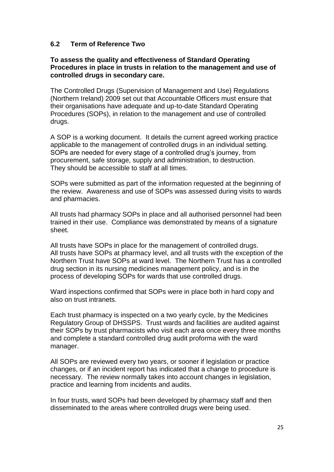### **6.2 Term of Reference Two**

#### **To assess the quality and effectiveness of Standard Operating Procedures in place in trusts in relation to the management and use of controlled drugs in secondary care.**

The Controlled Drugs (Supervision of Management and Use) Regulations (Northern Ireland) 2009 set out that Accountable Officers must ensure that their organisations have adequate and up-to-date Standard Operating Procedures (SOPs), in relation to the management and use of controlled drugs.

A SOP is a working document. It details the current agreed working practice applicable to the management of controlled drugs in an individual setting. SOPs are needed for every stage of a controlled drug's journey, from procurement, safe storage, supply and administration, to destruction. They should be accessible to staff at all times.

SOPs were submitted as part of the information requested at the beginning of the review. Awareness and use of SOPs was assessed during visits to wards and pharmacies.

All trusts had pharmacy SOPs in place and all authorised personnel had been trained in their use. Compliance was demonstrated by means of a signature sheet.

All trusts have SOPs in place for the management of controlled drugs. All trusts have SOPs at pharmacy level, and all trusts with the exception of the Northern Trust have SOPs at ward level. The Northern Trust has a controlled drug section in its nursing medicines management policy, and is in the process of developing SOPs for wards that use controlled drugs.

Ward inspections confirmed that SOPs were in place both in hard copy and also on trust intranets.

Each trust pharmacy is inspected on a two yearly cycle, by the Medicines Regulatory Group of DHSSPS. Trust wards and facilities are audited against their SOPs by trust pharmacists who visit each area once every three months and complete a standard controlled drug audit proforma with the ward manager.

All SOPs are reviewed every two years, or sooner if legislation or practice changes, or if an incident report has indicated that a change to procedure is necessary. The review normally takes into account changes in legislation, practice and learning from incidents and audits.

In four trusts, ward SOPs had been developed by pharmacy staff and then disseminated to the areas where controlled drugs were being used.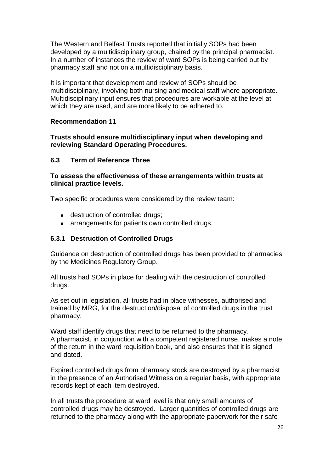The Western and Belfast Trusts reported that initially SOPs had been developed by a multidisciplinary group, chaired by the principal pharmacist. In a number of instances the review of ward SOPs is being carried out by pharmacy staff and not on a multidisciplinary basis.

It is important that development and review of SOPs should be multidisciplinary, involving both nursing and medical staff where appropriate. Multidisciplinary input ensures that procedures are workable at the level at which they are used, and are more likely to be adhered to.

#### **Recommendation 11**

#### **Trusts should ensure multidisciplinary input when developing and reviewing Standard Operating Procedures.**

### **6.3 Term of Reference Three**

#### **To assess the effectiveness of these arrangements within trusts at clinical practice levels.**

Two specific procedures were considered by the review team:

- destruction of controlled drugs;
- arrangements for patients own controlled drugs.

### **6.3.1 Destruction of Controlled Drugs**

Guidance on destruction of controlled drugs has been provided to pharmacies by the Medicines Regulatory Group.

All trusts had SOPs in place for dealing with the destruction of controlled drugs.

As set out in legislation, all trusts had in place witnesses, authorised and trained by MRG, for the destruction/disposal of controlled drugs in the trust pharmacy.

Ward staff identify drugs that need to be returned to the pharmacy. A pharmacist, in conjunction with a competent registered nurse, makes a note of the return in the ward requisition book, and also ensures that it is signed and dated.

Expired controlled drugs from pharmacy stock are destroyed by a pharmacist in the presence of an Authorised Witness on a regular basis, with appropriate records kept of each item destroyed.

In all trusts the procedure at ward level is that only small amounts of controlled drugs may be destroyed. Larger quantities of controlled drugs are returned to the pharmacy along with the appropriate paperwork for their safe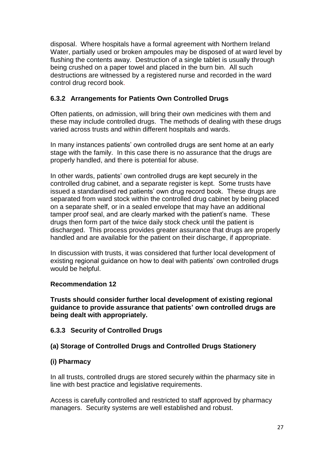disposal. Where hospitals have a formal agreement with Northern Ireland Water, partially used or broken ampoules may be disposed of at ward level by flushing the contents away. Destruction of a single tablet is usually through being crushed on a paper towel and placed in the burn bin. All such destructions are witnessed by a registered nurse and recorded in the ward control drug record book.

### **6.3.2 Arrangements for Patients Own Controlled Drugs**

Often patients, on admission, will bring their own medicines with them and these may include controlled drugs. The methods of dealing with these drugs varied across trusts and within different hospitals and wards.

In many instances patients' own controlled drugs are sent home at an early stage with the family. In this case there is no assurance that the drugs are properly handled, and there is potential for abuse.

In other wards, patients' own controlled drugs are kept securely in the controlled drug cabinet, and a separate register is kept. Some trusts have issued a standardised red patients' own drug record book. These drugs are separated from ward stock within the controlled drug cabinet by being placed on a separate shelf, or in a sealed envelope that may have an additional tamper proof seal, and are clearly marked with the patient's name. These drugs then form part of the twice daily stock check until the patient is discharged. This process provides greater assurance that drugs are properly handled and are available for the patient on their discharge, if appropriate.

In discussion with trusts, it was considered that further local development of existing regional guidance on how to deal with patients' own controlled drugs would be helpful.

### **Recommendation 12**

**Trusts should consider further local development of existing regional guidance to provide assurance that patients' own controlled drugs are being dealt with appropriately.**

### **6.3.3 Security of Controlled Drugs**

# **(a) Storage of Controlled Drugs and Controlled Drugs Stationery**

### **(i) Pharmacy**

In all trusts, controlled drugs are stored securely within the pharmacy site in line with best practice and legislative requirements.

Access is carefully controlled and restricted to staff approved by pharmacy managers. Security systems are well established and robust.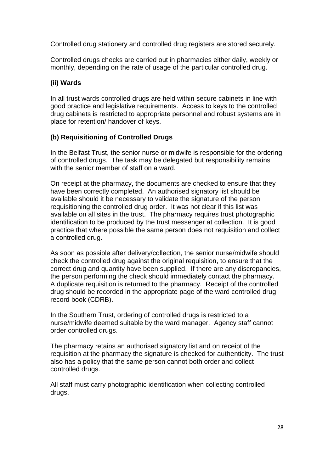Controlled drug stationery and controlled drug registers are stored securely.

Controlled drugs checks are carried out in pharmacies either daily, weekly or monthly, depending on the rate of usage of the particular controlled drug.

### **(ii) Wards**

In all trust wards controlled drugs are held within secure cabinets in line with good practice and legislative requirements. Access to keys to the controlled drug cabinets is restricted to appropriate personnel and robust systems are in place for retention/ handover of keys.

### **(b) Requisitioning of Controlled Drugs**

In the Belfast Trust, the senior nurse or midwife is responsible for the ordering of controlled drugs. The task may be delegated but responsibility remains with the senior member of staff on a ward.

On receipt at the pharmacy, the documents are checked to ensure that they have been correctly completed. An authorised signatory list should be available should it be necessary to validate the signature of the person requisitioning the controlled drug order. It was not clear if this list was available on all sites in the trust. The pharmacy requires trust photographic identification to be produced by the trust messenger at collection. It is good practice that where possible the same person does not requisition and collect a controlled drug.

As soon as possible after delivery/collection, the senior nurse/midwife should check the controlled drug against the original requisition, to ensure that the correct drug and quantity have been supplied. If there are any discrepancies, the person performing the check should immediately contact the pharmacy. A duplicate requisition is returned to the pharmacy. Receipt of the controlled drug should be recorded in the appropriate page of the ward controlled drug record book (CDRB).

In the Southern Trust, ordering of controlled drugs is restricted to a nurse/midwife deemed suitable by the ward manager. Agency staff cannot order controlled drugs.

The pharmacy retains an authorised signatory list and on receipt of the requisition at the pharmacy the signature is checked for authenticity. The trust also has a policy that the same person cannot both order and collect controlled drugs.

All staff must carry photographic identification when collecting controlled drugs.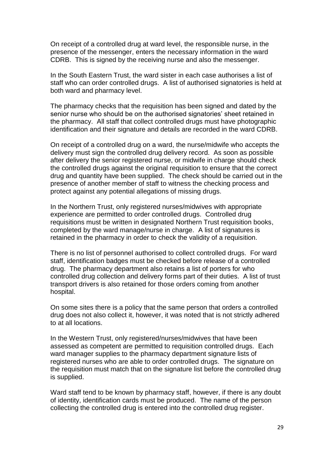On receipt of a controlled drug at ward level, the responsible nurse, in the presence of the messenger, enters the necessary information in the ward CDRB. This is signed by the receiving nurse and also the messenger.

In the South Eastern Trust, the ward sister in each case authorises a list of staff who can order controlled drugs. A list of authorised signatories is held at both ward and pharmacy level.

The pharmacy checks that the requisition has been signed and dated by the senior nurse who should be on the authorised signatories' sheet retained in the pharmacy. All staff that collect controlled drugs must have photographic identification and their signature and details are recorded in the ward CDRB.

On receipt of a controlled drug on a ward, the nurse/midwife who accepts the delivery must sign the controlled drug delivery record. As soon as possible after delivery the senior registered nurse, or midwife in charge should check the controlled drugs against the original requisition to ensure that the correct drug and quantity have been supplied. The check should be carried out in the presence of another member of staff to witness the checking process and protect against any potential allegations of missing drugs.

In the Northern Trust, only registered nurses/midwives with appropriate experience are permitted to order controlled drugs. Controlled drug requisitions must be written in designated Northern Trust requisition books, completed by the ward manage/nurse in charge. A list of signatures is retained in the pharmacy in order to check the validity of a requisition.

There is no list of personnel authorised to collect controlled drugs. For ward staff, identification badges must be checked before release of a controlled drug. The pharmacy department also retains a list of porters for who controlled drug collection and delivery forms part of their duties. A list of trust transport drivers is also retained for those orders coming from another hospital.

On some sites there is a policy that the same person that orders a controlled drug does not also collect it, however, it was noted that is not strictly adhered to at all locations.

In the Western Trust, only registered/nurses/midwives that have been assessed as competent are permitted to requisition controlled drugs. Each ward manager supplies to the pharmacy department signature lists of registered nurses who are able to order controlled drugs. The signature on the requisition must match that on the signature list before the controlled drug is supplied.

Ward staff tend to be known by pharmacy staff, however, if there is any doubt of identity, identification cards must be produced. The name of the person collecting the controlled drug is entered into the controlled drug register.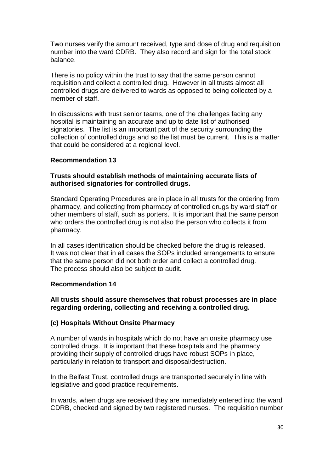Two nurses verify the amount received, type and dose of drug and requisition number into the ward CDRB. They also record and sign for the total stock balance.

There is no policy within the trust to say that the same person cannot requisition and collect a controlled drug. However in all trusts almost all controlled drugs are delivered to wards as opposed to being collected by a member of staff.

In discussions with trust senior teams, one of the challenges facing any hospital is maintaining an accurate and up to date list of authorised signatories. The list is an important part of the security surrounding the collection of controlled drugs and so the list must be current. This is a matter that could be considered at a regional level.

#### **Recommendation 13**

#### **Trusts should establish methods of maintaining accurate lists of authorised signatories for controlled drugs.**

Standard Operating Procedures are in place in all trusts for the ordering from pharmacy, and collecting from pharmacy of controlled drugs by ward staff or other members of staff, such as porters. It is important that the same person who orders the controlled drug is not also the person who collects it from pharmacy.

In all cases identification should be checked before the drug is released. It was not clear that in all cases the SOPs included arrangements to ensure that the same person did not both order and collect a controlled drug. The process should also be subject to audit.

#### **Recommendation 14**

### **All trusts should assure themselves that robust processes are in place regarding ordering, collecting and receiving a controlled drug.**

### **(c) Hospitals Without Onsite Pharmacy**

A number of wards in hospitals which do not have an onsite pharmacy use controlled drugs. It is important that these hospitals and the pharmacy providing their supply of controlled drugs have robust SOPs in place, particularly in relation to transport and disposal/destruction.

In the Belfast Trust, controlled drugs are transported securely in line with legislative and good practice requirements.

In wards, when drugs are received they are immediately entered into the ward CDRB, checked and signed by two registered nurses. The requisition number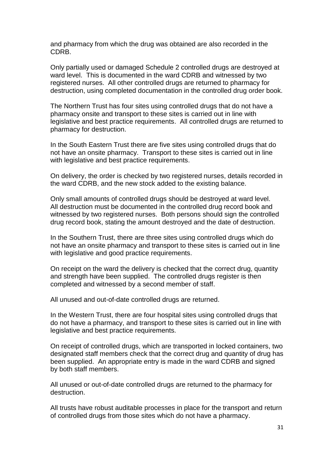and pharmacy from which the drug was obtained are also recorded in the CDRB.

Only partially used or damaged Schedule 2 controlled drugs are destroyed at ward level. This is documented in the ward CDRB and witnessed by two registered nurses. All other controlled drugs are returned to pharmacy for destruction, using completed documentation in the controlled drug order book.

The Northern Trust has four sites using controlled drugs that do not have a pharmacy onsite and transport to these sites is carried out in line with legislative and best practice requirements. All controlled drugs are returned to pharmacy for destruction.

In the South Eastern Trust there are five sites using controlled drugs that do not have an onsite pharmacy. Transport to these sites is carried out in line with legislative and best practice requirements.

On delivery, the order is checked by two registered nurses, details recorded in the ward CDRB, and the new stock added to the existing balance.

Only small amounts of controlled drugs should be destroyed at ward level. All destruction must be documented in the controlled drug record book and witnessed by two registered nurses. Both persons should sign the controlled drug record book, stating the amount destroyed and the date of destruction.

In the Southern Trust, there are three sites using controlled drugs which do not have an onsite pharmacy and transport to these sites is carried out in line with legislative and good practice requirements.

On receipt on the ward the delivery is checked that the correct drug, quantity and strength have been supplied. The controlled drugs register is then completed and witnessed by a second member of staff.

All unused and out-of-date controlled drugs are returned.

In the Western Trust, there are four hospital sites using controlled drugs that do not have a pharmacy, and transport to these sites is carried out in line with legislative and best practice requirements.

On receipt of controlled drugs, which are transported in locked containers, two designated staff members check that the correct drug and quantity of drug has been supplied. An appropriate entry is made in the ward CDRB and signed by both staff members.

All unused or out-of-date controlled drugs are returned to the pharmacy for destruction.

All trusts have robust auditable processes in place for the transport and return of controlled drugs from those sites which do not have a pharmacy.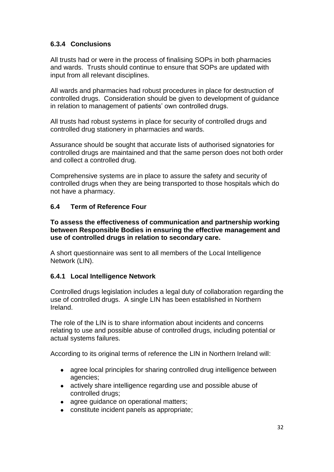## **6.3.4 Conclusions**

All trusts had or were in the process of finalising SOPs in both pharmacies and wards. Trusts should continue to ensure that SOPs are updated with input from all relevant disciplines.

All wards and pharmacies had robust procedures in place for destruction of controlled drugs. Consideration should be given to development of guidance in relation to management of patients' own controlled drugs.

All trusts had robust systems in place for security of controlled drugs and controlled drug stationery in pharmacies and wards.

Assurance should be sought that accurate lists of authorised signatories for controlled drugs are maintained and that the same person does not both order and collect a controlled drug.

Comprehensive systems are in place to assure the safety and security of controlled drugs when they are being transported to those hospitals which do not have a pharmacy.

### **6.4 Term of Reference Four**

**To assess the effectiveness of communication and partnership working between Responsible Bodies in ensuring the effective management and use of controlled drugs in relation to secondary care.**

A short questionnaire was sent to all members of the Local Intelligence Network (LIN).

### **6.4.1 Local Intelligence Network**

Controlled drugs legislation includes a legal duty of collaboration regarding the use of controlled drugs. A single LIN has been established in Northern Ireland.

The role of the LIN is to share information about incidents and concerns relating to use and possible abuse of controlled drugs, including potential or actual systems failures.

According to its original terms of reference the LIN in Northern Ireland will:

- agree local principles for sharing controlled drug intelligence between  $\bullet$ agencies;
- actively share intelligence regarding use and possible abuse of controlled drugs;
- agree guidance on operational matters;
- constitute incident panels as appropriate;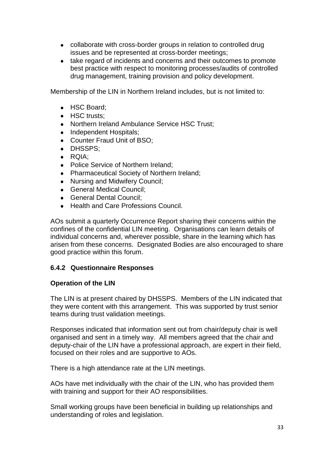- collaborate with cross-border groups in relation to controlled drug issues and be represented at cross-border meetings;
- take regard of incidents and concerns and their outcomes to promote best practice with respect to monitoring processes/audits of controlled drug management, training provision and policy development.

Membership of the LIN in Northern Ireland includes, but is not limited to:

- HSC Board;
- HSC trusts:
- Northern Ireland Ambulance Service HSC Trust:
- $\bullet$ Independent Hospitals;
- Counter Fraud Unit of BSO:
- DHSSPS;
- RQIA:
- Police Service of Northern Ireland;  $\bullet$
- Pharmaceutical Society of Northern Ireland;
- Nursing and Midwifery Council;
- General Medical Council;
- General Dental Council;
- Health and Care Professions Council.

AOs submit a quarterly Occurrence Report sharing their concerns within the confines of the confidential LIN meeting. Organisations can learn details of individual concerns and, wherever possible, share in the learning which has arisen from these concerns. Designated Bodies are also encouraged to share good practice within this forum.

### **6.4.2 Questionnaire Responses**

### **Operation of the LIN**

The LIN is at present chaired by DHSSPS. Members of the LIN indicated that they were content with this arrangement. This was supported by trust senior teams during trust validation meetings.

Responses indicated that information sent out from chair/deputy chair is well organised and sent in a timely way. All members agreed that the chair and deputy-chair of the LIN have a professional approach, are expert in their field, focused on their roles and are supportive to AOs.

There is a high attendance rate at the LIN meetings.

AOs have met individually with the chair of the LIN, who has provided them with training and support for their AO responsibilities.

Small working groups have been beneficial in building up relationships and understanding of roles and legislation.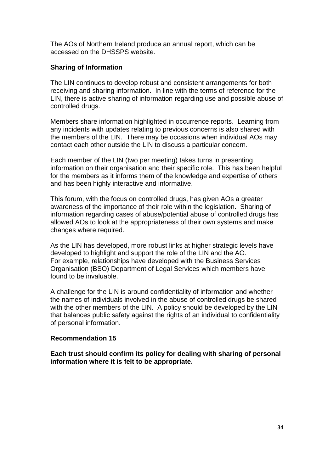The AOs of Northern Ireland produce an annual report, which can be accessed on the DHSSPS website.

#### **Sharing of Information**

The LIN continues to develop robust and consistent arrangements for both receiving and sharing information. In line with the terms of reference for the LIN, there is active sharing of information regarding use and possible abuse of controlled drugs.

Members share information highlighted in occurrence reports. Learning from any incidents with updates relating to previous concerns is also shared with the members of the LIN. There may be occasions when individual AOs may contact each other outside the LIN to discuss a particular concern.

Each member of the LIN (two per meeting) takes turns in presenting information on their organisation and their specific role. This has been helpful for the members as it informs them of the knowledge and expertise of others and has been highly interactive and informative.

This forum, with the focus on controlled drugs, has given AOs a greater awareness of the importance of their role within the legislation. Sharing of information regarding cases of abuse/potential abuse of controlled drugs has allowed AOs to look at the appropriateness of their own systems and make changes where required.

As the LIN has developed, more robust links at higher strategic levels have developed to highlight and support the role of the LIN and the AO. For example, relationships have developed with the Business Services Organisation (BSO) Department of Legal Services which members have found to be invaluable.

A challenge for the LIN is around confidentiality of information and whether the names of individuals involved in the abuse of controlled drugs be shared with the other members of the LIN. A policy should be developed by the LIN that balances public safety against the rights of an individual to confidentiality of personal information.

#### **Recommendation 15**

**Each trust should confirm its policy for dealing with sharing of personal information where it is felt to be appropriate.**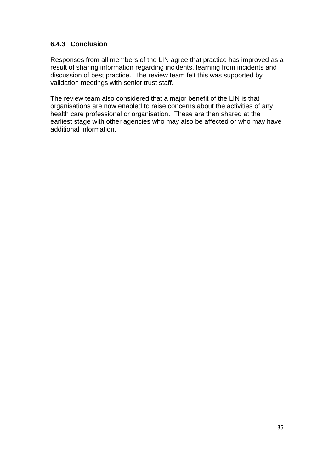## **6.4.3 Conclusion**

Responses from all members of the LIN agree that practice has improved as a result of sharing information regarding incidents, learning from incidents and discussion of best practice. The review team felt this was supported by validation meetings with senior trust staff.

The review team also considered that a major benefit of the LIN is that organisations are now enabled to raise concerns about the activities of any health care professional or organisation. These are then shared at the earliest stage with other agencies who may also be affected or who may have additional information.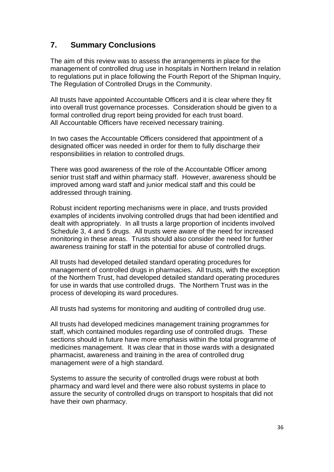# **7. Summary Conclusions**

The aim of this review was to assess the arrangements in place for the management of controlled drug use in hospitals in Northern Ireland in relation to regulations put in place following the Fourth Report of the Shipman Inquiry, The Regulation of Controlled Drugs in the Community.

All trusts have appointed Accountable Officers and it is clear where they fit into overall trust governance processes. Consideration should be given to a formal controlled drug report being provided for each trust board. All Accountable Officers have received necessary training.

In two cases the Accountable Officers considered that appointment of a designated officer was needed in order for them to fully discharge their responsibilities in relation to controlled drugs.

There was good awareness of the role of the Accountable Officer among senior trust staff and within pharmacy staff. However, awareness should be improved among ward staff and junior medical staff and this could be addressed through training.

Robust incident reporting mechanisms were in place, and trusts provided examples of incidents involving controlled drugs that had been identified and dealt with appropriately. In all trusts a large proportion of incidents involved Schedule 3, 4 and 5 drugs. All trusts were aware of the need for increased monitoring in these areas. Trusts should also consider the need for further awareness training for staff in the potential for abuse of controlled drugs.

All trusts had developed detailed standard operating procedures for management of controlled drugs in pharmacies. All trusts, with the exception of the Northern Trust, had developed detailed standard operating procedures for use in wards that use controlled drugs. The Northern Trust was in the process of developing its ward procedures.

All trusts had systems for monitoring and auditing of controlled drug use.

All trusts had developed medicines management training programmes for staff, which contained modules regarding use of controlled drugs. These sections should in future have more emphasis within the total programme of medicines management. It was clear that in those wards with a designated pharmacist, awareness and training in the area of controlled drug management were of a high standard.

Systems to assure the security of controlled drugs were robust at both pharmacy and ward level and there were also robust systems in place to assure the security of controlled drugs on transport to hospitals that did not have their own pharmacy.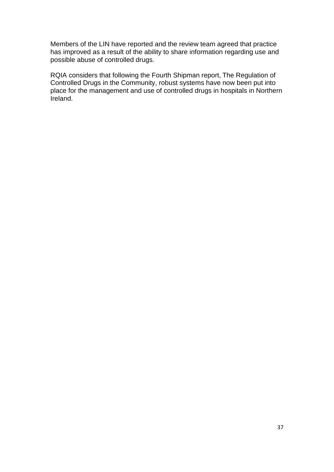Members of the LIN have reported and the review team agreed that practice has improved as a result of the ability to share information regarding use and possible abuse of controlled drugs.

RQIA considers that following the Fourth Shipman report, The Regulation of Controlled Drugs in the Community, robust systems have now been put into place for the management and use of controlled drugs in hospitals in Northern Ireland.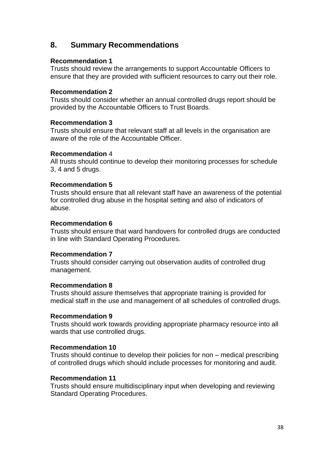# **8. Summary Recommendations**

### **Recommendation 1**

Trusts should review the arrangements to support Accountable Officers to ensure that they are provided with sufficient resources to carry out their role.

### **Recommendation 2**

Trusts should consider whether an annual controlled drugs report should be provided by the Accountable Officers to Trust Boards.

### **Recommendation 3**

Trusts should ensure that relevant staff at all levels in the organisation are aware of the role of the Accountable Officer.

### **Recommendation** 4

All trusts should continue to develop their monitoring processes for schedule 3, 4 and 5 drugs.

### **Recommendation 5**

Trusts should ensure that all relevant staff have an awareness of the potential for controlled drug abuse in the hospital setting and also of indicators of abuse.

### **Recommendation 6**

Trusts should ensure that ward handovers for controlled drugs are conducted in line with Standard Operating Procedures.

### **Recommendation 7**

Trusts should consider carrying out observation audits of controlled drug management.

### **Recommendation 8**

Trusts should assure themselves that appropriate training is provided for medical staff in the use and management of all schedules of controlled drugs.

### **Recommendation 9**

Trusts should work towards providing appropriate pharmacy resource into all wards that use controlled drugs.

### **Recommendation 10**

Trusts should continue to develop their policies for non – medical prescribing of controlled drugs which should include processes for monitoring and audit.

### **Recommendation 11**

Trusts should ensure multidisciplinary input when developing and reviewing Standard Operating Procedures.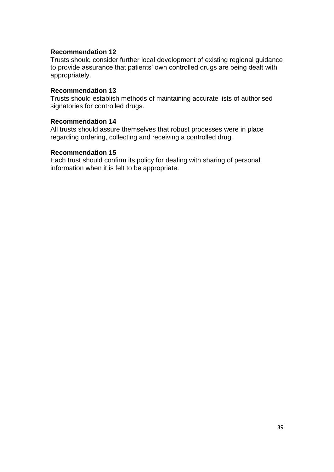#### **Recommendation 12**

Trusts should consider further local development of existing regional guidance to provide assurance that patients' own controlled drugs are being dealt with appropriately.

#### **Recommendation 13**

Trusts should establish methods of maintaining accurate lists of authorised signatories for controlled drugs.

#### **Recommendation 14**

All trusts should assure themselves that robust processes were in place regarding ordering, collecting and receiving a controlled drug.

#### **Recommendation 15**

Each trust should confirm its policy for dealing with sharing of personal information when it is felt to be appropriate.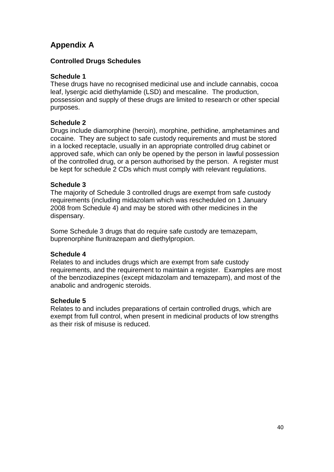# **Appendix A**

### **Controlled Drugs Schedules**

### **Schedule 1**

These drugs have no recognised medicinal use and include cannabis, cocoa leaf, lysergic acid diethylamide (LSD) and mescaline. The production, possession and supply of these drugs are limited to research or other special purposes.

### **Schedule 2**

Drugs include diamorphine (heroin), morphine, pethidine, amphetamines and cocaine. They are subject to safe custody requirements and must be stored in a locked receptacle, usually in an appropriate controlled drug cabinet or approved safe, which can only be opened by the person in lawful possession of the controlled drug, or a person authorised by the person. A register must be kept for schedule 2 CDs which must comply with relevant regulations.

### **Schedule 3**

The majority of Schedule 3 controlled drugs are exempt from safe custody requirements (including midazolam which was rescheduled on 1 January 2008 from Schedule 4) and may be stored with other medicines in the dispensary.

Some Schedule 3 drugs that do require safe custody are temazepam, buprenorphine flunitrazepam and diethylpropion.

### **Schedule 4**

Relates to and includes drugs which are exempt from safe custody requirements, and the requirement to maintain a register. Examples are most of the benzodiazepines (except midazolam and temazepam), and most of the anabolic and androgenic steroids.

### **Schedule 5**

Relates to and includes preparations of certain controlled drugs, which are exempt from full control, when present in medicinal products of low strengths as their risk of misuse is reduced.